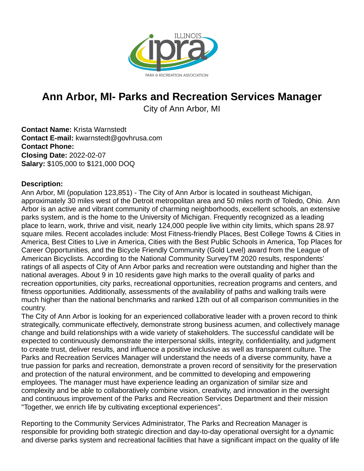

## **Ann Arbor, MI- Parks and Recreation Services Manager**

City of Ann Arbor, MI

**Contact Name:** Krista Warnstedt **Contact E-mail:** kwarnstedt@govhrusa.com **Contact Phone: Closing Date:** 2022-02-07 **Salary:** \$105,000 to \$121,000 DOQ

## **Description:**

Ann Arbor, MI (population 123,851) - The City of Ann Arbor is located in southeast Michigan, approximately 30 miles west of the Detroit metropolitan area and 50 miles north of Toledo, Ohio. Ann Arbor is an active and vibrant community of charming neighborhoods, excellent schools, an extensive parks system, and is the home to the University of Michigan. Frequently recognized as a leading place to learn, work, thrive and visit, nearly 124,000 people live within city limits, which spans 28.97 square miles. Recent accolades include: Most Fitness-friendly Places, Best College Towns & Cities in America, Best Cities to Live in America, Cities with the Best Public Schools in America, Top Places for Career Opportunities, and the Bicycle Friendly Community (Gold Level) award from the League of American Bicyclists. According to the National Community SurveyTM 2020 results, respondents' ratings of all aspects of City of Ann Arbor parks and recreation were outstanding and higher than the national averages. About 9 in 10 residents gave high marks to the overall quality of parks and recreation opportunities, city parks, recreational opportunities, recreation programs and centers, and fitness opportunities. Additionally, assessments of the availability of paths and walking trails were much higher than the national benchmarks and ranked 12th out of all comparison communities in the country.

The City of Ann Arbor is looking for an experienced collaborative leader with a proven record to think strategically, communicate effectively, demonstrate strong business acumen, and collectively manage change and build relationships with a wide variety of stakeholders. The successful candidate will be expected to continuously demonstrate the interpersonal skills, integrity, confidentiality, and judgment to create trust, deliver results, and influence a positive inclusive as well as transparent culture. The Parks and Recreation Services Manager will understand the needs of a diverse community, have a true passion for parks and recreation, demonstrate a proven record of sensitivity for the preservation and protection of the natural environment, and be committed to developing and empowering employees. The manager must have experience leading an organization of similar size and complexity and be able to collaboratively combine vision, creativity, and innovation in the oversight and continuous improvement of the Parks and Recreation Services Department and their mission "Together, we enrich life by cultivating exceptional experiences".

Reporting to the Community Services Administrator, The Parks and Recreation Manager is responsible for providing both strategic direction and day-to-day operational oversight for a dynamic and diverse parks system and recreational facilities that have a significant impact on the quality of life